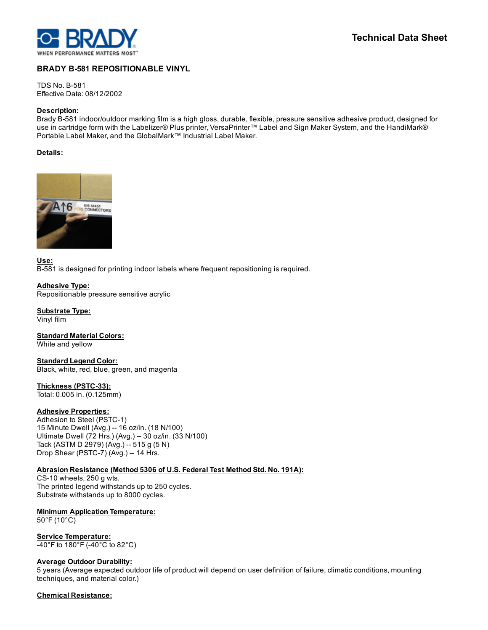

# BRADY B-581 REPOSITIONABLE VINYL

**TDS No. B-581** Effective Date: 08/12/2002

#### Description:

Brady B-581 indoor/outdoor marking film is a high gloss, durable, flexible, pressure sensitive adhesive product, designed for use in cartridge form with the Labelizer® Plus printer, VersaPrinter™ Label and Sign Maker System, and the HandiMark® Portable Label Maker, and the GlobalMark™ Industrial Label Maker.

### Details:



Use: B-581 is designed for printing indoor labels where frequent repositioning is required.

Adhesive Type: Repositionable pressure sensitive acrylic

Substrate Type: Vinyl film

**Standard Material Colors:** White and yellow

Standard Legend Color: Black, white, red, blue, green, and magenta

Thickness (PSTC-33): Total: 0.005 in. (0.125mm)

#### Adhesive Properties:

Adhesion to Steel (PSTC-1) 15 Minute Dwell (Avg.) 16 oz/in. (18 N/100) Ultimate Dwell (72 Hrs.) (Avg.) -- 30 oz/in. (33 N/100) Tack (ASTM D 2979) (Avg.) -- 515 g (5 N) Drop Shear (PSTC-7) (Avg.) -- 14 Hrs.

## Abrasion Resistance (Method 5306 of U.S. Federal Test Method Std. No. 191A):

CS-10 wheels, 250 g wts. The printed legend withstands up to 250 cycles. Substrate withstands up to 8000 cycles.

Minimum Application Temperature:

50°F (10°C)

Service Temperature: 40°F to 180°F (40°C to 82°C)

#### **Average Outdoor Durability:**

5 years (Average expected outdoor life of product will depend on user definition of failure, climatic conditions, mounting techniques, and material color.)

### Chemical Resistance: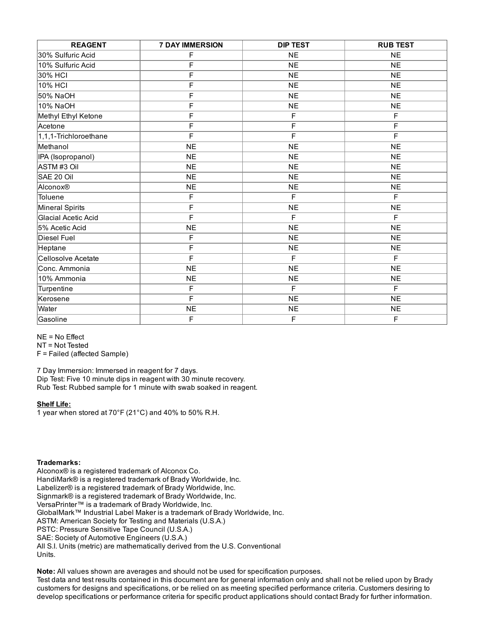| <b>REAGENT</b>        | <b>7 DAY IMMERSION</b>  | <b>DIP TEST</b> | <b>RUB TEST</b> |
|-----------------------|-------------------------|-----------------|-----------------|
| 30% Sulfuric Acid     | F                       | <b>NE</b>       | <b>NE</b>       |
| 10% Sulfuric Acid     | F                       | <b>NE</b>       | <b>NE</b>       |
| 30% HCI               | F                       | <b>NE</b>       | <b>NE</b>       |
| 10% HCI               | F                       | <b>NE</b>       | <b>NE</b>       |
| 50% NaOH              | F                       | <b>NE</b>       | <b>NE</b>       |
| 10% NaOH              | F                       | <b>NE</b>       | <b>NE</b>       |
| Methyl Ethyl Ketone   | F                       | F               | F               |
| Acetone               | F                       | F               | F               |
| 1,1,1-Trichloroethane | F                       | F               | F               |
| Methanol              | <b>NE</b>               | <b>NE</b>       | <b>NE</b>       |
| IPA (Isopropanol)     | <b>NE</b>               | <b>NE</b>       | <b>NE</b>       |
| ASTM#3 Oil            | <b>NE</b>               | <b>NE</b>       | <b>NE</b>       |
| SAE 20 Oil            | <b>NE</b>               | <b>NE</b>       | <b>NE</b>       |
| Alconox®              | <b>NE</b>               | <b>NE</b>       | <b>NE</b>       |
| Toluene               | F                       | F               | F               |
| Mineral Spirits       | F                       | <b>NE</b>       | NE              |
| Glacial Acetic Acid   | $\overline{\mathsf{F}}$ | F               | F               |
| 5% Acetic Acid        | <b>NE</b>               | <b>NE</b>       | <b>NE</b>       |
| Diesel Fuel           | F                       | <b>NE</b>       | <b>NE</b>       |
| Heptane               | $\overline{\mathsf{F}}$ | <b>NE</b>       | NE              |
| Cellosolve Acetate    | $\overline{\mathsf{F}}$ | $\overline{F}$  | F               |
| Conc. Ammonia         | N <sub>E</sub>          | N <sub>E</sub>  | NE              |
| 10% Ammonia           | <b>NE</b>               | <b>NE</b>       | <b>NE</b>       |
| Turpentine            | F                       | F               | F               |
| Kerosene              | F                       | <b>NE</b>       | NE              |
| Water                 | <b>NE</b>               | <b>NE</b>       | <b>NE</b>       |
| Gasoline              | F                       | F               | F               |

NE = No Effect

NT = Not Tested

F = Failed (affected Sample)

7 Day Immersion: Immersed in reagent for 7 days. Dip Test: Five 10 minute dips in reagent with 30 minute recovery. Rub Test: Rubbed sample for 1 minute with swab soaked in reagent.

#### Shelf Life:

1 year when stored at 70°F (21°C) and 40% to 50% R.H.

#### Trademarks:

Alconox® is a registered trademark of Alconox Co. HandiMark® is a registered trademark of Brady Worldwide, Inc. Labelizer® is a registered trademark of Brady Worldwide, Inc. Signmark® is a registered trademark of Brady Worldwide, Inc. VersaPrinter™ is a trademark of Brady Worldwide, Inc. GlobalMark™ Industrial Label Maker is a trademark of Brady Worldwide, Inc. ASTM: American Society for Testing and Materials (U.S.A.) PSTC: Pressure Sensitive Tape Council (U.S.A.) SAE: Society of Automotive Engineers (U.S.A.) All S.I. Units (metric) are mathematically derived from the U.S. Conventional Units.

Note: All values shown are averages and should not be used for specification purposes.

Test data and test results contained in this document are for general information only and shall not be relied upon by Brady customers for designs and specifications, or be relied on as meeting specified performance criteria. Customers desiring to develop specifications or performance criteria for specific product applications should contact Brady for further information.